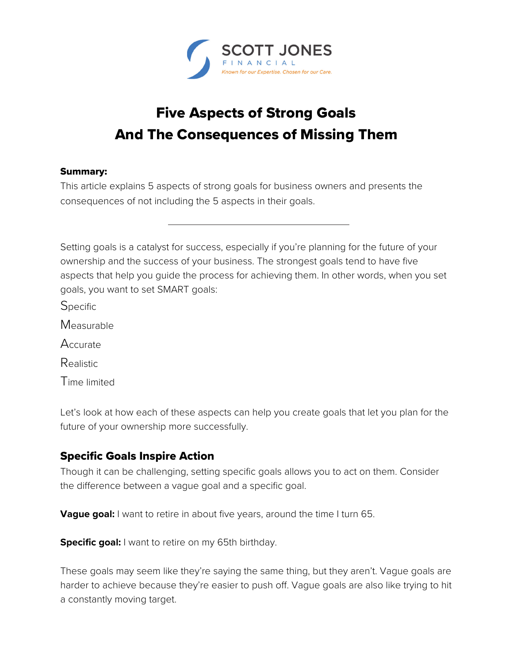

# Five Aspects of Strong Goals And The Consequences of Missing Them

#### Summary:

This article explains 5 aspects of strong goals for business owners and presents the consequences of not including the 5 aspects in their goals.

Setting goals is a catalyst for success, especially if you're planning for the future of your ownership and the success of your business. The strongest goals tend to have five aspects that help you guide the process for achieving them. In other words, when you set goals, you want to set SMART goals:

**Specific** 

Measurable

Accurate

Realistic

Time limited

Let's look at how each of these aspects can help you create goals that let you plan for the future of your ownership more successfully.

## Specific Goals Inspire Action

Though it can be challenging, setting specific goals allows you to act on them. Consider the difference between a vague goal and a specific goal.

**Vague goal:** I want to retire in about five years, around the time I turn 65.

**Specific goal:** I want to retire on my 65th birthday.

These goals may seem like they're saying the same thing, but they aren't. Vague goals are harder to achieve because they're easier to push off. Vague goals are also like trying to hit a constantly moving target.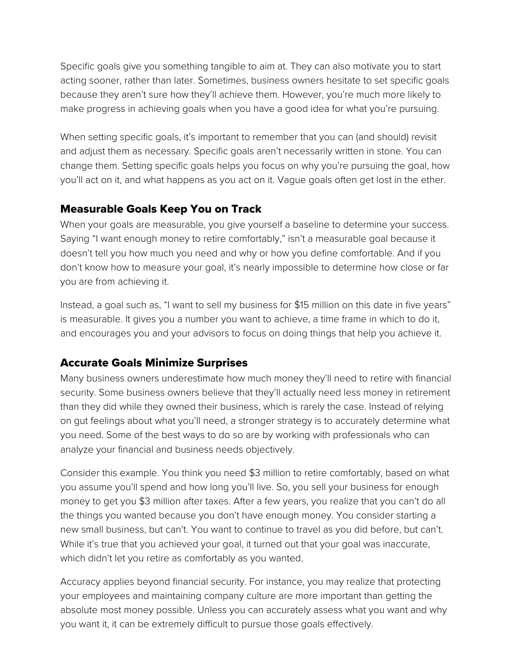Specific goals give you something tangible to aim at. They can also motivate you to start acting sooner, rather than later. Sometimes, business owners hesitate to set specific goals because they aren't sure how they'll achieve them. However, you're much more likely to make progress in achieving goals when you have a good idea for what you're pursuing.

When setting specific goals, it's important to remember that you can (and should) revisit and adjust them as necessary. Specific goals aren't necessarily written in stone. You can change them. Setting specific goals helps you focus on why you're pursuing the goal, how you'll act on it, and what happens as you act on it. Vague goals often get lost in the ether.

## Measurable Goals Keep You on Track

When your goals are measurable, you give yourself a baseline to determine your success. Saying "I want enough money to retire comfortably," isn't a measurable goal because it doesn't tell you how much you need and why or how you define comfortable. And if you don't know how to measure your goal, it's nearly impossible to determine how close or far you are from achieving it.

Instead, a goal such as, "I want to sell my business for \$15 million on this date in five years" is measurable. It gives you a number you want to achieve, a time frame in which to do it, and encourages you and your advisors to focus on doing things that help you achieve it.

## Accurate Goals Minimize Surprises

Many business owners underestimate how much money they'll need to retire with financial security. Some business owners believe that they'll actually need less money in retirement than they did while they owned their business, which is rarely the case. Instead of relying on gut feelings about what you'll need, a stronger strategy is to accurately determine what you need. Some of the best ways to do so are by working with professionals who can analyze your financial and business needs objectively.

Consider this example. You think you need \$3 million to retire comfortably, based on what you assume you'll spend and how long you'll live. So, you sell your business for enough money to get you \$3 million after taxes. After a few years, you realize that you can't do all the things you wanted because you don't have enough money. You consider starting a new small business, but can't. You want to continue to travel as you did before, but can't. While it's true that you achieved your goal, it turned out that your goal was inaccurate, which didn't let you retire as comfortably as you wanted.

Accuracy applies beyond financial security. For instance, you may realize that protecting your employees and maintaining company culture are more important than getting the absolute most money possible. Unless you can accurately assess what you want and why you want it, it can be extremely difficult to pursue those goals effectively.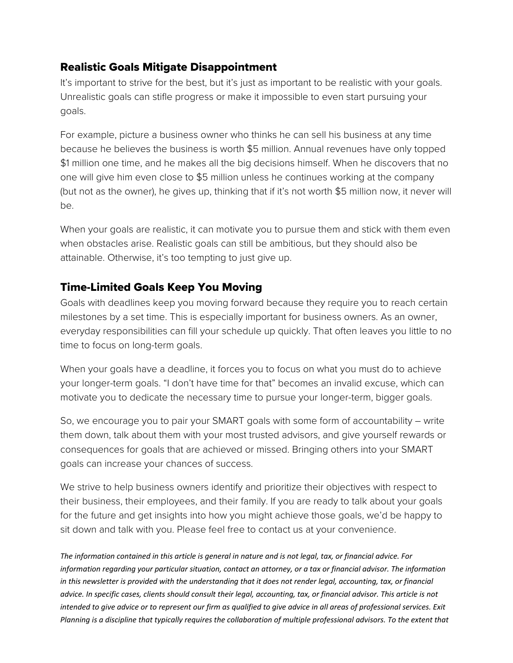## Realistic Goals Mitigate Disappointment

It's important to strive for the best, but it's just as important to be realistic with your goals. Unrealistic goals can stifle progress or make it impossible to even start pursuing your goals.

For example, picture a business owner who thinks he can sell his business at any time because he believes the business is worth \$5 million. Annual revenues have only topped \$1 million one time, and he makes all the big decisions himself. When he discovers that no one will give him even close to \$5 million unless he continues working at the company (but not as the owner), he gives up, thinking that if it's not worth \$5 million now, it never will be.

When your goals are realistic, it can motivate you to pursue them and stick with them even when obstacles arise. Realistic goals can still be ambitious, but they should also be attainable. Otherwise, it's too tempting to just give up.

### Time-Limited Goals Keep You Moving

Goals with deadlines keep you moving forward because they require you to reach certain milestones by a set time. This is especially important for business owners. As an owner, everyday responsibilities can fill your schedule up quickly. That often leaves you little to no time to focus on long-term goals.

When your goals have a deadline, it forces you to focus on what you must do to achieve your longer-term goals. "I don't have time for that" becomes an invalid excuse, which can motivate you to dedicate the necessary time to pursue your longer-term, bigger goals.

So, we encourage you to pair your SMART goals with some form of accountability – write them down, talk about them with your most trusted advisors, and give yourself rewards or consequences for goals that are achieved or missed. Bringing others into your SMART goals can increase your chances of success.

We strive to help business owners identify and prioritize their objectives with respect to their business, their employees, and their family. If you are ready to talk about your goals for the future and get insights into how you might achieve those goals, we'd be happy to sit down and talk with you. Please feel free to contact us at your convenience.

*The information contained in this article is general in nature and is not legal, tax, or financial advice. For information regarding your particular situation, contact an attorney, or a tax or financial advisor. The information in this newsletter is provided with the understanding that it does not render legal, accounting, tax, or financial advice. In specific cases, clients should consult their legal, accounting, tax, or financial advisor. This article is not intended to give advice or to represent our firm as qualified to give advice in all areas of professional services. Exit Planning is a discipline that typically requires the collaboration of multiple professional advisors. To the extent that*